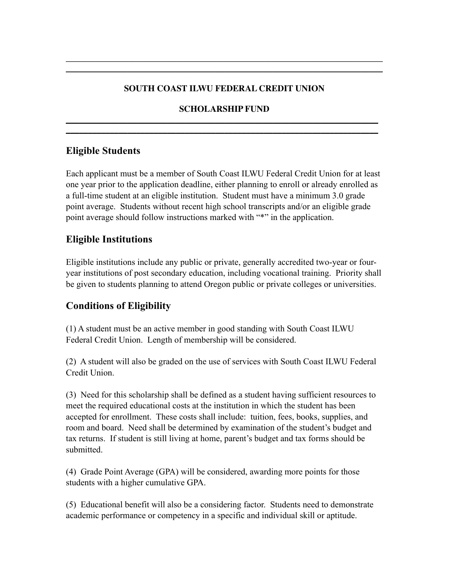#### **SOUTH COAST ILWU FEDERAL CREDIT UNION**

**\_\_\_\_\_\_\_\_\_\_\_\_\_\_\_\_\_\_\_\_\_\_\_\_\_\_\_\_\_\_\_\_\_\_\_\_\_\_\_\_\_\_\_\_\_\_\_\_\_\_\_\_\_\_\_\_\_\_\_\_\_\_\_\_\_\_\_\_\_\_\_\_ \_\_\_\_\_\_\_\_\_\_\_\_\_\_\_\_\_\_\_\_\_\_\_\_\_\_\_\_\_\_\_\_\_\_\_\_\_\_\_\_\_\_\_\_\_\_\_\_\_\_\_\_\_\_\_\_\_\_\_\_\_\_\_\_\_\_\_\_\_\_\_\_**

#### **SCHOLARSHIP FUND \_\_\_\_\_\_\_\_\_\_\_\_\_\_\_\_\_\_\_\_\_\_\_\_\_\_\_\_\_\_\_\_\_\_\_\_\_\_\_\_\_\_\_\_\_\_\_\_\_\_\_\_\_\_\_\_\_\_\_\_\_\_\_\_\_\_\_\_\_\_\_**

**\_\_\_\_\_\_\_\_\_\_\_\_\_\_\_\_\_\_\_\_\_\_\_\_\_\_\_\_\_\_\_\_\_\_\_\_\_\_\_\_\_\_\_\_\_\_\_\_\_\_\_\_\_\_\_\_\_\_\_\_\_\_\_\_\_\_\_\_\_\_\_**

## **Eligible Students**

Each applicant must be a member of South Coast ILWU Federal Credit Union for at least one year prior to the application deadline, either planning to enroll or already enrolled as a full-time student at an eligible institution. Student must have a minimum 3.0 grade point average. Students without recent high school transcripts and/or an eligible grade point average should follow instructions marked with "\*" in the application.

# **Eligible Institutions**

Eligible institutions include any public or private, generally accredited two-year or fouryear institutions of post secondary education, including vocational training. Priority shall be given to students planning to attend Oregon public or private colleges or universities.

## **Conditions of Eligibility**

(1) A student must be an active member in good standing with South Coast ILWU Federal Credit Union. Length of membership will be considered.

(2) A student will also be graded on the use of services with South Coast ILWU Federal Credit Union.

(3) Need for this scholarship shall be defined as a student having sufficient resources to meet the required educational costs at the institution in which the student has been accepted for enrollment. These costs shall include: tuition, fees, books, supplies, and room and board. Need shall be determined by examination of the student's budget and tax returns. If student is still living at home, parent's budget and tax forms should be submitted.

(4) Grade Point Average (GPA) will be considered, awarding more points for those students with a higher cumulative GPA.

(5) Educational benefit will also be a considering factor. Students need to demonstrate academic performance or competency in a specific and individual skill or aptitude.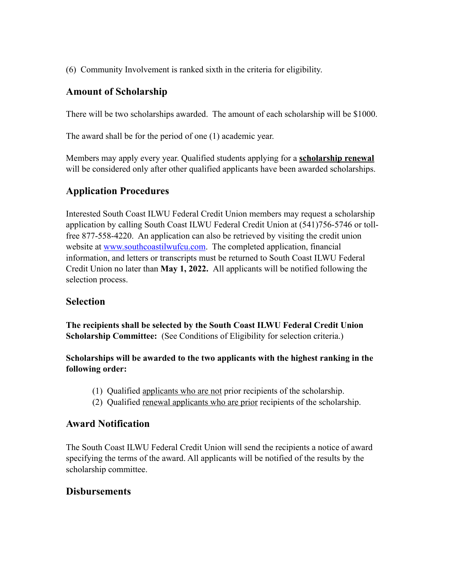(6) Community Involvement is ranked sixth in the criteria for eligibility.

## **Amount of Scholarship**

There will be two scholarships awarded. The amount of each scholarship will be \$1000.

The award shall be for the period of one (1) academic year.

Members may apply every year. Qualified students applying for a **scholarship renewal** will be considered only after other qualified applicants have been awarded scholarships.

# **Application Procedures**

Interested South Coast ILWU Federal Credit Union members may request a scholarship application by calling South Coast ILWU Federal Credit Union at (541)756-5746 or tollfree 877-558-4220. An application can also be retrieved by visiting the credit union website at [www.southcoastilwufcu.com](http://www.southcoastilwufcu.com). The completed application, financial information, and letters or transcripts must be returned to South Coast ILWU Federal Credit Union no later than **May 1, 2022.** All applicants will be notified following the selection process.

## **Selection**

**The recipients shall be selected by the South Coast ILWU Federal Credit Union Scholarship Committee:** (See Conditions of Eligibility for selection criteria.)

**Scholarships will be awarded to the two applicants with the highest ranking in the following order:**

- (1) Qualified applicants who are not prior recipients of the scholarship.
- (2) Qualified renewal applicants who are prior recipients of the scholarship.

## **Award Notification**

The South Coast ILWU Federal Credit Union will send the recipients a notice of award specifying the terms of the award. All applicants will be notified of the results by the scholarship committee.

## **Disbursements**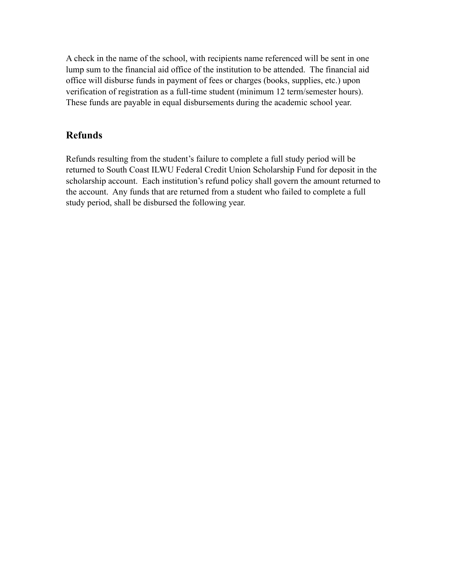A check in the name of the school, with recipients name referenced will be sent in one lump sum to the financial aid office of the institution to be attended. The financial aid office will disburse funds in payment of fees or charges (books, supplies, etc.) upon verification of registration as a full-time student (minimum 12 term/semester hours). These funds are payable in equal disbursements during the academic school year.

## **Refunds**

Refunds resulting from the student's failure to complete a full study period will be returned to South Coast ILWU Federal Credit Union Scholarship Fund for deposit in the scholarship account. Each institution's refund policy shall govern the amount returned to the account. Any funds that are returned from a student who failed to complete a full study period, shall be disbursed the following year.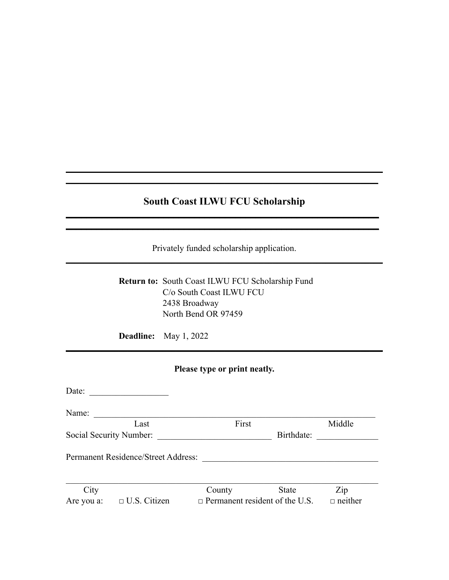# **South Coast ILWU FCU Scholarship \_\_\_\_\_\_\_\_\_\_\_\_\_\_\_\_\_\_\_\_\_\_\_\_\_\_\_\_\_\_\_\_\_\_\_\_\_\_\_\_\_\_\_\_\_\_\_\_\_\_\_\_\_\_\_\_\_\_\_\_\_**

**\_\_\_\_\_\_\_\_\_\_\_\_\_\_\_\_\_\_\_\_\_\_\_\_\_\_\_\_\_\_\_\_\_\_\_\_\_\_\_\_\_\_\_\_\_\_\_\_\_\_\_\_\_\_\_\_\_\_\_\_\_\_\_\_\_\_\_\_\_\_\_\_ \_\_\_\_\_\_\_\_\_\_\_\_\_\_\_\_\_\_\_\_\_\_\_\_\_\_\_\_\_\_\_\_\_\_\_\_\_\_\_\_\_\_\_\_\_\_\_\_\_\_\_\_\_\_\_\_\_\_\_\_\_\_\_\_\_\_\_\_\_\_\_**

Privately funded scholarship application. **\_\_\_\_\_\_\_\_\_\_\_\_\_\_\_\_\_\_\_\_\_\_\_\_\_\_\_\_\_\_\_\_\_\_\_\_\_\_\_\_\_\_\_\_\_\_\_\_\_\_\_\_\_\_\_\_\_\_\_\_\_\_\_\_\_\_\_\_\_\_\_\_**

**\_\_\_\_\_\_\_\_\_\_\_\_\_\_\_\_\_\_\_\_\_\_\_\_\_\_\_\_\_\_\_\_\_\_\_\_\_\_\_\_\_\_\_\_\_\_\_\_\_\_\_\_\_\_\_\_\_\_\_\_\_**

| Return to: South Coast ILWU FCU Scholarship Fund |
|--------------------------------------------------|
|                                                  |
|                                                  |
|                                                  |
|                                                  |

**Deadline:** May 1, 2022

# **Please type or print neatly.**

**\_\_\_\_\_\_\_\_\_\_\_\_\_\_\_\_\_\_\_\_\_\_\_\_\_\_\_\_\_\_\_\_\_\_\_\_\_\_\_\_\_\_\_\_\_\_\_\_\_\_\_\_\_\_\_\_\_\_\_\_\_\_\_\_\_\_\_\_\_\_\_\_**

| Date:      |                                     |                                       |              |                |  |
|------------|-------------------------------------|---------------------------------------|--------------|----------------|--|
| Name:      |                                     |                                       |              |                |  |
|            | Last                                | First                                 |              | Middle         |  |
|            | Social Security Number:             |                                       | Birthdate:   |                |  |
|            | Permanent Residence/Street Address: |                                       |              |                |  |
|            |                                     |                                       |              |                |  |
| City       |                                     | County                                | <b>State</b> | Zip            |  |
| Are you a: | $\Box$ U.S. Citizen                 | $\Box$ Permanent resident of the U.S. |              | $\Box$ neither |  |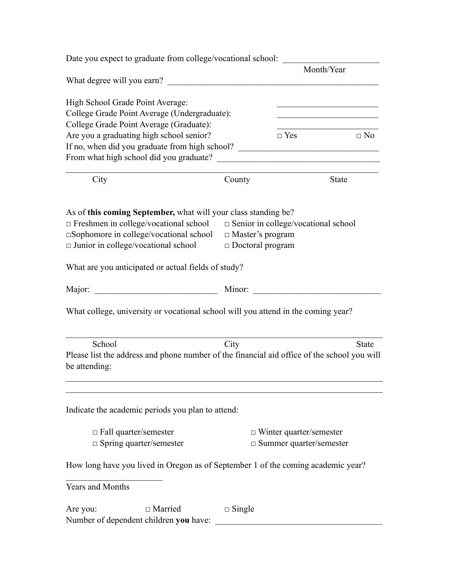| Date you expect to graduate from college/vocational school:                                                  |                                   |                                                                                           |                                                                                                                       |  |
|--------------------------------------------------------------------------------------------------------------|-----------------------------------|-------------------------------------------------------------------------------------------|-----------------------------------------------------------------------------------------------------------------------|--|
|                                                                                                              | Month/Year                        |                                                                                           |                                                                                                                       |  |
| High School Grade Point Average:                                                                             |                                   |                                                                                           | <u> 1980 - Johann Barbara, martin amerikan basar dan basa dan basa dalam basa dalam basa dalam basa dalam basa da</u> |  |
| College Grade Point Average (Undergraduate):                                                                 |                                   |                                                                                           |                                                                                                                       |  |
| College Grade Point Average (Graduate):                                                                      |                                   |                                                                                           | <u> 1989 - Johann Barbara, martxa alemaniar a</u><br>$\Box$ No                                                        |  |
| Are you a graduating high school senior?                                                                     |                                   | $\Box$ Yes                                                                                |                                                                                                                       |  |
| If no, when did you graduate from high school? __________________________________                            |                                   |                                                                                           |                                                                                                                       |  |
|                                                                                                              |                                   |                                                                                           |                                                                                                                       |  |
|                                                                                                              |                                   |                                                                                           |                                                                                                                       |  |
| City                                                                                                         | County                            | the control of the control of the control of the control of the control of the control of | <b>State</b>                                                                                                          |  |
| As of this coming September, what will your class standing be?                                               |                                   |                                                                                           |                                                                                                                       |  |
| Freshmen in college/vocational school                                                                        |                                   | $\Box$ Senior in college/vocational school                                                |                                                                                                                       |  |
| □Sophomore in college/vocational school                                                                      | $\Box$ Master's program           |                                                                                           |                                                                                                                       |  |
| $\Box$ Junior in college/vocational school                                                                   | $\Box$ Doctoral program           |                                                                                           |                                                                                                                       |  |
|                                                                                                              |                                   |                                                                                           |                                                                                                                       |  |
| What are you anticipated or actual fields of study?                                                          |                                   |                                                                                           |                                                                                                                       |  |
|                                                                                                              |                                   |                                                                                           |                                                                                                                       |  |
| What college, university or vocational school will you attend in the coming year?                            |                                   |                                                                                           |                                                                                                                       |  |
| School                                                                                                       | City                              |                                                                                           | <b>State</b>                                                                                                          |  |
| Please list the address and phone number of the financial aid office of the school you will<br>be attending: |                                   |                                                                                           |                                                                                                                       |  |
| Indicate the academic periods you plan to attend:                                                            |                                   |                                                                                           |                                                                                                                       |  |
| $\Box$ Fall quarter/semester                                                                                 |                                   | $\Box$ Winter quarter/semester                                                            |                                                                                                                       |  |
| $\Box$ Spring quarter/semester                                                                               | $\square$ Summer quarter/semester |                                                                                           |                                                                                                                       |  |
| How long have you lived in Oregon as of September 1 of the coming academic year?                             |                                   |                                                                                           |                                                                                                                       |  |
| <b>Years and Months</b>                                                                                      |                                   |                                                                                           |                                                                                                                       |  |
| $\Box$ Married<br>Are you:<br>Number of dependent children you have:                                         | $\Box$ Single                     |                                                                                           |                                                                                                                       |  |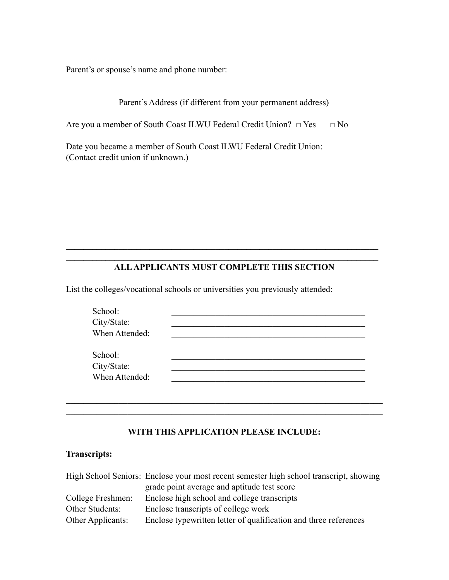Parent's or spouse's name and phone number:

| Parent's Address (if different from your permanent address)                                              |           |
|----------------------------------------------------------------------------------------------------------|-----------|
| Are you a member of South Coast ILWU Federal Credit Union? $\Box$ Yes                                    | $\Box$ No |
| Date you became a member of South Coast ILWU Federal Credit Union:<br>(Contact credit union if unknown.) |           |

#### $\mathcal{L}_\mathcal{L} = \{ \mathcal{L}_\mathcal{L} = \{ \mathcal{L}_\mathcal{L} = \{ \mathcal{L}_\mathcal{L} = \{ \mathcal{L}_\mathcal{L} = \{ \mathcal{L}_\mathcal{L} = \{ \mathcal{L}_\mathcal{L} = \{ \mathcal{L}_\mathcal{L} = \{ \mathcal{L}_\mathcal{L} = \{ \mathcal{L}_\mathcal{L} = \{ \mathcal{L}_\mathcal{L} = \{ \mathcal{L}_\mathcal{L} = \{ \mathcal{L}_\mathcal{L} = \{ \mathcal{L}_\mathcal{L} = \{ \mathcal{L}_\mathcal{$ **ALL APPLICANTS MUST COMPLETE THIS SECTION**

 $\mathcal{L}_\mathcal{L} = \{ \mathcal{L}_\mathcal{L} = \{ \mathcal{L}_\mathcal{L} = \{ \mathcal{L}_\mathcal{L} = \{ \mathcal{L}_\mathcal{L} = \{ \mathcal{L}_\mathcal{L} = \{ \mathcal{L}_\mathcal{L} = \{ \mathcal{L}_\mathcal{L} = \{ \mathcal{L}_\mathcal{L} = \{ \mathcal{L}_\mathcal{L} = \{ \mathcal{L}_\mathcal{L} = \{ \mathcal{L}_\mathcal{L} = \{ \mathcal{L}_\mathcal{L} = \{ \mathcal{L}_\mathcal{L} = \{ \mathcal{L}_\mathcal{$ 

List the colleges/vocational schools or universities you previously attended:

| School:        |  |
|----------------|--|
| City/State:    |  |
| When Attended: |  |
|                |  |
| School:        |  |
| City/State:    |  |
| When Attended: |  |
|                |  |

### **WITH THIS APPLICATION PLEASE INCLUDE:**

 $\mathcal{L}_\text{max} = \mathcal{L}_\text{max} = \mathcal{L}_\text{max} = \mathcal{L}_\text{max} = \mathcal{L}_\text{max} = \mathcal{L}_\text{max} = \mathcal{L}_\text{max} = \mathcal{L}_\text{max} = \mathcal{L}_\text{max} = \mathcal{L}_\text{max} = \mathcal{L}_\text{max} = \mathcal{L}_\text{max} = \mathcal{L}_\text{max} = \mathcal{L}_\text{max} = \mathcal{L}_\text{max} = \mathcal{L}_\text{max} = \mathcal{L}_\text{max} = \mathcal{L}_\text{max} = \mathcal{$ 

 $\mathcal{L}_\text{max} = \mathcal{L}_\text{max} = \mathcal{L}_\text{max} = \mathcal{L}_\text{max} = \mathcal{L}_\text{max} = \mathcal{L}_\text{max} = \mathcal{L}_\text{max} = \mathcal{L}_\text{max} = \mathcal{L}_\text{max} = \mathcal{L}_\text{max} = \mathcal{L}_\text{max} = \mathcal{L}_\text{max} = \mathcal{L}_\text{max} = \mathcal{L}_\text{max} = \mathcal{L}_\text{max} = \mathcal{L}_\text{max} = \mathcal{L}_\text{max} = \mathcal{L}_\text{max} = \mathcal{$ 

#### **Transcripts:**

|                   | High School Seniors: Enclose your most recent semester high school transcript, showing |
|-------------------|----------------------------------------------------------------------------------------|
|                   | grade point average and aptitude test score                                            |
| College Freshmen: | Enclose high school and college transcripts                                            |
| Other Students:   | Enclose transcripts of college work                                                    |
| Other Applicants: | Enclose typewritten letter of qualification and three references                       |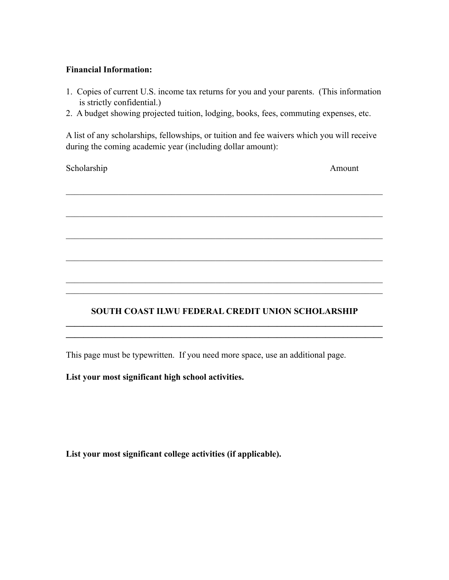#### **Financial Information:**

- 1. Copies of current U.S. income tax returns for you and your parents. (This information is strictly confidential.)
- 2. A budget showing projected tuition, lodging, books, fees, commuting expenses, etc.

A list of any scholarships, fellowships, or tuition and fee waivers which you will receive during the coming academic year (including dollar amount):

 $\mathcal{L}_\text{max} = \mathcal{L}_\text{max} = \mathcal{L}_\text{max} = \mathcal{L}_\text{max} = \mathcal{L}_\text{max} = \mathcal{L}_\text{max} = \mathcal{L}_\text{max} = \mathcal{L}_\text{max} = \mathcal{L}_\text{max} = \mathcal{L}_\text{max} = \mathcal{L}_\text{max} = \mathcal{L}_\text{max} = \mathcal{L}_\text{max} = \mathcal{L}_\text{max} = \mathcal{L}_\text{max} = \mathcal{L}_\text{max} = \mathcal{L}_\text{max} = \mathcal{L}_\text{max} = \mathcal{$ 

 $\mathcal{L}_\text{max} = \mathcal{L}_\text{max} = \mathcal{L}_\text{max} = \mathcal{L}_\text{max} = \mathcal{L}_\text{max} = \mathcal{L}_\text{max} = \mathcal{L}_\text{max} = \mathcal{L}_\text{max} = \mathcal{L}_\text{max} = \mathcal{L}_\text{max} = \mathcal{L}_\text{max} = \mathcal{L}_\text{max} = \mathcal{L}_\text{max} = \mathcal{L}_\text{max} = \mathcal{L}_\text{max} = \mathcal{L}_\text{max} = \mathcal{L}_\text{max} = \mathcal{L}_\text{max} = \mathcal{$ 

 $\mathcal{L}_\text{max} = \mathcal{L}_\text{max} = \mathcal{L}_\text{max} = \mathcal{L}_\text{max} = \mathcal{L}_\text{max} = \mathcal{L}_\text{max} = \mathcal{L}_\text{max} = \mathcal{L}_\text{max} = \mathcal{L}_\text{max} = \mathcal{L}_\text{max} = \mathcal{L}_\text{max} = \mathcal{L}_\text{max} = \mathcal{L}_\text{max} = \mathcal{L}_\text{max} = \mathcal{L}_\text{max} = \mathcal{L}_\text{max} = \mathcal{L}_\text{max} = \mathcal{L}_\text{max} = \mathcal{$ 

\_\_\_\_\_\_\_\_\_\_\_\_\_\_\_\_\_\_\_\_\_\_\_\_\_\_\_\_\_\_\_\_\_\_\_\_\_\_\_\_\_\_\_\_\_\_\_\_\_\_\_\_\_\_\_\_\_\_\_\_\_\_\_\_\_\_\_\_\_\_\_\_

Scholarship Amount

### **SOUTH COAST ILWU FEDERAL CREDIT UNION SCHOLARSHIP**  $\mathcal{L}_\mathcal{L} = \{ \mathcal{L}_\mathcal{L} = \{ \mathcal{L}_\mathcal{L} = \{ \mathcal{L}_\mathcal{L} = \{ \mathcal{L}_\mathcal{L} = \{ \mathcal{L}_\mathcal{L} = \{ \mathcal{L}_\mathcal{L} = \{ \mathcal{L}_\mathcal{L} = \{ \mathcal{L}_\mathcal{L} = \{ \mathcal{L}_\mathcal{L} = \{ \mathcal{L}_\mathcal{L} = \{ \mathcal{L}_\mathcal{L} = \{ \mathcal{L}_\mathcal{L} = \{ \mathcal{L}_\mathcal{L} = \{ \mathcal{L}_\mathcal{$

 $\mathcal{L}_\mathcal{L} = \{ \mathcal{L}_\mathcal{L} = \{ \mathcal{L}_\mathcal{L} = \{ \mathcal{L}_\mathcal{L} = \{ \mathcal{L}_\mathcal{L} = \{ \mathcal{L}_\mathcal{L} = \{ \mathcal{L}_\mathcal{L} = \{ \mathcal{L}_\mathcal{L} = \{ \mathcal{L}_\mathcal{L} = \{ \mathcal{L}_\mathcal{L} = \{ \mathcal{L}_\mathcal{L} = \{ \mathcal{L}_\mathcal{L} = \{ \mathcal{L}_\mathcal{L} = \{ \mathcal{L}_\mathcal{L} = \{ \mathcal{L}_\mathcal{$ 

 $\mathcal{L}_\text{max} = \mathcal{L}_\text{max} = \mathcal{L}_\text{max} = \mathcal{L}_\text{max} = \mathcal{L}_\text{max} = \mathcal{L}_\text{max} = \mathcal{L}_\text{max} = \mathcal{L}_\text{max} = \mathcal{L}_\text{max} = \mathcal{L}_\text{max} = \mathcal{L}_\text{max} = \mathcal{L}_\text{max} = \mathcal{L}_\text{max} = \mathcal{L}_\text{max} = \mathcal{L}_\text{max} = \mathcal{L}_\text{max} = \mathcal{L}_\text{max} = \mathcal{L}_\text{max} = \mathcal{$  $\mathcal{L}_\text{max} = \mathcal{L}_\text{max} = \mathcal{L}_\text{max} = \mathcal{L}_\text{max} = \mathcal{L}_\text{max} = \mathcal{L}_\text{max} = \mathcal{L}_\text{max} = \mathcal{L}_\text{max} = \mathcal{L}_\text{max} = \mathcal{L}_\text{max} = \mathcal{L}_\text{max} = \mathcal{L}_\text{max} = \mathcal{L}_\text{max} = \mathcal{L}_\text{max} = \mathcal{L}_\text{max} = \mathcal{L}_\text{max} = \mathcal{L}_\text{max} = \mathcal{L}_\text{max} = \mathcal{$ 

This page must be typewritten. If you need more space, use an additional page.

**List your most significant high school activities.**

**List your most significant college activities (if applicable).**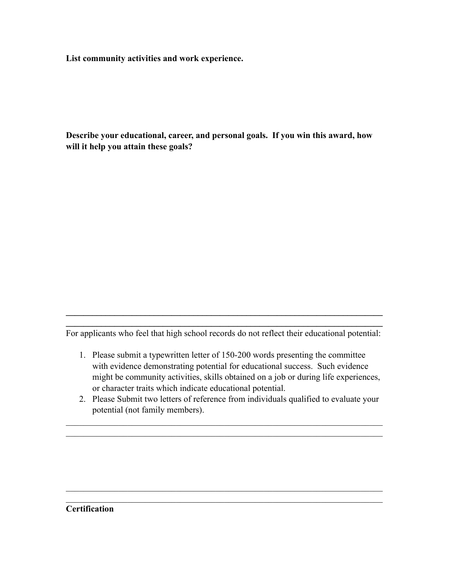**List community activities and work experience.**

**Describe your educational, career, and personal goals. If you win this award, how will it help you attain these goals?**

 $\mathcal{L}_\mathcal{L} = \{ \mathcal{L}_\mathcal{L} = \{ \mathcal{L}_\mathcal{L} = \{ \mathcal{L}_\mathcal{L} = \{ \mathcal{L}_\mathcal{L} = \{ \mathcal{L}_\mathcal{L} = \{ \mathcal{L}_\mathcal{L} = \{ \mathcal{L}_\mathcal{L} = \{ \mathcal{L}_\mathcal{L} = \{ \mathcal{L}_\mathcal{L} = \{ \mathcal{L}_\mathcal{L} = \{ \mathcal{L}_\mathcal{L} = \{ \mathcal{L}_\mathcal{L} = \{ \mathcal{L}_\mathcal{L} = \{ \mathcal{L}_\mathcal{$ For applicants who feel that high school records do not reflect their educational potential:

 $\mathcal{L}_\mathcal{L} = \{ \mathcal{L}_\mathcal{L} = \{ \mathcal{L}_\mathcal{L} = \{ \mathcal{L}_\mathcal{L} = \{ \mathcal{L}_\mathcal{L} = \{ \mathcal{L}_\mathcal{L} = \{ \mathcal{L}_\mathcal{L} = \{ \mathcal{L}_\mathcal{L} = \{ \mathcal{L}_\mathcal{L} = \{ \mathcal{L}_\mathcal{L} = \{ \mathcal{L}_\mathcal{L} = \{ \mathcal{L}_\mathcal{L} = \{ \mathcal{L}_\mathcal{L} = \{ \mathcal{L}_\mathcal{L} = \{ \mathcal{L}_\mathcal{$ 

- 1. Please submit a typewritten letter of 150-200 words presenting the committee with evidence demonstrating potential for educational success. Such evidence might be community activities, skills obtained on a job or during life experiences, or character traits which indicate educational potential.
- 2. Please Submit two letters of reference from individuals qualified to evaluate your potential (not family members).

 $\mathcal{L}_\text{max} = \mathcal{L}_\text{max} = \mathcal{L}_\text{max} = \mathcal{L}_\text{max} = \mathcal{L}_\text{max} = \mathcal{L}_\text{max} = \mathcal{L}_\text{max} = \mathcal{L}_\text{max} = \mathcal{L}_\text{max} = \mathcal{L}_\text{max} = \mathcal{L}_\text{max} = \mathcal{L}_\text{max} = \mathcal{L}_\text{max} = \mathcal{L}_\text{max} = \mathcal{L}_\text{max} = \mathcal{L}_\text{max} = \mathcal{L}_\text{max} = \mathcal{L}_\text{max} = \mathcal{$  $\mathcal{L}_\text{max} = \mathcal{L}_\text{max} = \mathcal{L}_\text{max} = \mathcal{L}_\text{max} = \mathcal{L}_\text{max} = \mathcal{L}_\text{max} = \mathcal{L}_\text{max} = \mathcal{L}_\text{max} = \mathcal{L}_\text{max} = \mathcal{L}_\text{max} = \mathcal{L}_\text{max} = \mathcal{L}_\text{max} = \mathcal{L}_\text{max} = \mathcal{L}_\text{max} = \mathcal{L}_\text{max} = \mathcal{L}_\text{max} = \mathcal{L}_\text{max} = \mathcal{L}_\text{max} = \mathcal{$ 

 $\mathcal{L}_\text{max} = \mathcal{L}_\text{max} = \mathcal{L}_\text{max} = \mathcal{L}_\text{max} = \mathcal{L}_\text{max} = \mathcal{L}_\text{max} = \mathcal{L}_\text{max} = \mathcal{L}_\text{max} = \mathcal{L}_\text{max} = \mathcal{L}_\text{max} = \mathcal{L}_\text{max} = \mathcal{L}_\text{max} = \mathcal{L}_\text{max} = \mathcal{L}_\text{max} = \mathcal{L}_\text{max} = \mathcal{L}_\text{max} = \mathcal{L}_\text{max} = \mathcal{L}_\text{max} = \mathcal{$  $\mathcal{L}_\text{max} = \mathcal{L}_\text{max} = \mathcal{L}_\text{max} = \mathcal{L}_\text{max} = \mathcal{L}_\text{max} = \mathcal{L}_\text{max} = \mathcal{L}_\text{max} = \mathcal{L}_\text{max} = \mathcal{L}_\text{max} = \mathcal{L}_\text{max} = \mathcal{L}_\text{max} = \mathcal{L}_\text{max} = \mathcal{L}_\text{max} = \mathcal{L}_\text{max} = \mathcal{L}_\text{max} = \mathcal{L}_\text{max} = \mathcal{L}_\text{max} = \mathcal{L}_\text{max} = \mathcal{$ 

#### **Certification**